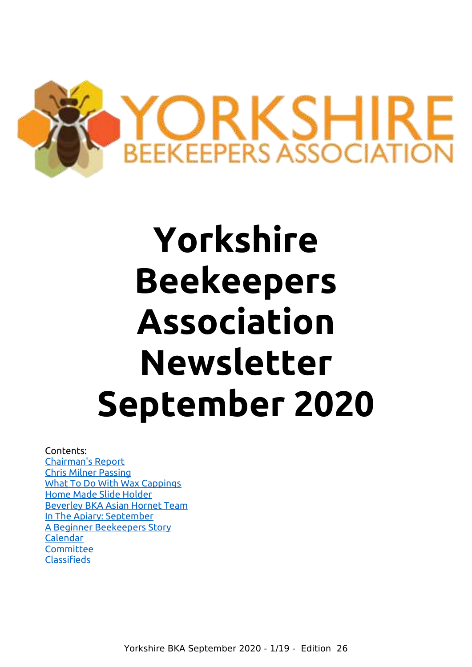

# **Yorkshire Beekeepers Association Newsletter September 2020**

## Contents:

[Chairman's Report](#page-1-0) [Chris Milner Passing](#page-2-1) [What To Do With Wax Cappings](#page-2-0) [Home Made Slide Holder](#page-5-1) [Beverley BKA Asian Hornet Team](#page-5-0) [In The Apiary: September](#page-7-0) [A Beginner Beekeepers Story](#page-9-0) [Calendar](#page-14-2) **[Committee](#page-14-1)** [Classifieds](#page-14-0)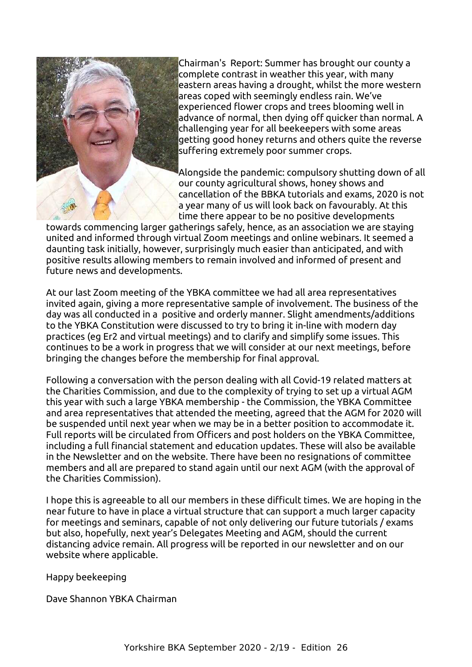

Chairman's Report: Summer has brought our county a complete contrast in weather this year, with many eastern areas having a drought, whilst the more western areas coped with seemingly endless rain. We've experienced flower crops and trees blooming well in advance of normal, then dying off quicker than normal. A challenging year for all beekeepers with some areas getting good honey returns and others quite the reverse suffering extremely poor summer crops.

<span id="page-1-0"></span>Alongside the pandemic: compulsory shutting down of all our county agricultural shows, honey shows and cancellation of the BBKA tutorials and exams, 2020 is not a year many of us will look back on favourably. At this time there appear to be no positive developments

towards commencing larger gatherings safely, hence, as an association we are staying united and informed through virtual Zoom meetings and online webinars. It seemed a daunting task initially, however, surprisingly much easier than anticipated, and with positive results allowing members to remain involved and informed of present and future news and developments.

At our last Zoom meeting of the YBKA committee we had all area representatives invited again, giving a more representative sample of involvement. The business of the day was all conducted in a positive and orderly manner. Slight amendments/additions to the YBKA Constitution were discussed to try to bring it in-line with modern day practices (eg Er2 and virtual meetings) and to clarify and simplify some issues. This continues to be a work in progress that we will consider at our next meetings, before bringing the changes before the membership for final approval.

Following a conversation with the person dealing with all Covid-19 related matters at the Charities Commission, and due to the complexity of trying to set up a virtual AGM this year with such a large YBKA membership - the Commission, the YBKA Committee and area representatives that attended the meeting, agreed that the AGM for 2020 will be suspended until next year when we may be in a better position to accommodate it. Full reports will be circulated from Officers and post holders on the YBKA Committee, including a full financial statement and education updates. These will also be available in the Newsletter and on the website. There have been no resignations of committee members and all are prepared to stand again until our next AGM (with the approval of the Charities Commission).

I hope this is agreeable to all our members in these difficult times. We are hoping in the near future to have in place a virtual structure that can support a much larger capacity for meetings and seminars, capable of not only delivering our future tutorials / exams but also, hopefully, next year's Delegates Meeting and AGM, should the current distancing advice remain. All progress will be reported in our newsletter and on our website where applicable.

Happy beekeeping

Dave Shannon YBKA Chairman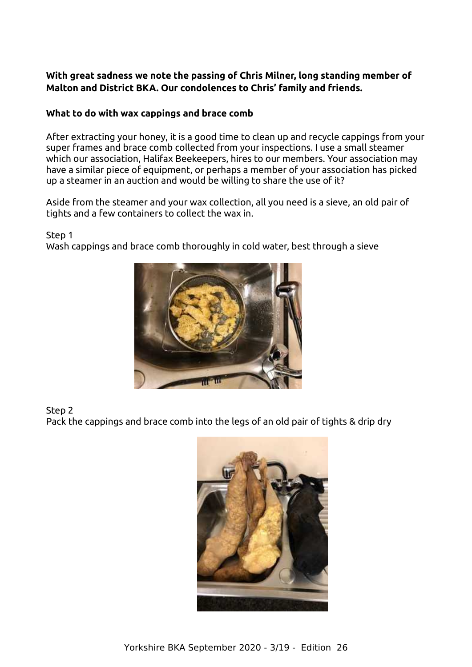## <span id="page-2-1"></span>**With great sadness we note the passing of Chris Milner, long standing member of Malton and District BKA. Our condolences to Chris' family and friends.**

## <span id="page-2-0"></span>**What to do with wax cappings and brace comb**

After extracting your honey, it is a good time to clean up and recycle cappings from your super frames and brace comb collected from your inspections. I use a small steamer which our association, Halifax Beekeepers, hires to our members. Your association may have a similar piece of equipment, or perhaps a member of your association has picked up a steamer in an auction and would be willing to share the use of it?

Aside from the steamer and your wax collection, all you need is a sieve, an old pair of tights and a few containers to collect the wax in.

Step 1

Wash cappings and brace comb thoroughly in cold water, best through a sieve



Step 2 Pack the cappings and brace comb into the legs of an old pair of tights & drip dry

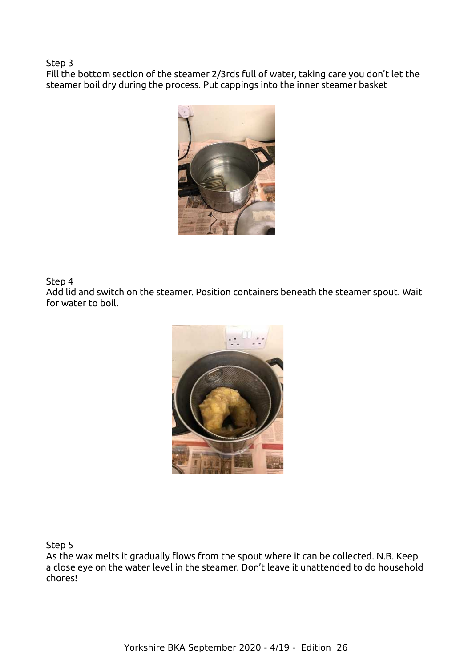Step 3

Fill the bottom section of the steamer 2/3rds full of water, taking care you don't let the steamer boil dry during the process. Put cappings into the inner steamer basket



Step 4 Add lid and switch on the steamer. Position containers beneath the steamer spout. Wait for water to boil.



Step 5

As the wax melts it gradually flows from the spout where it can be collected. N.B. Keep a close eye on the water level in the steamer. Don't leave it unattended to do household chores!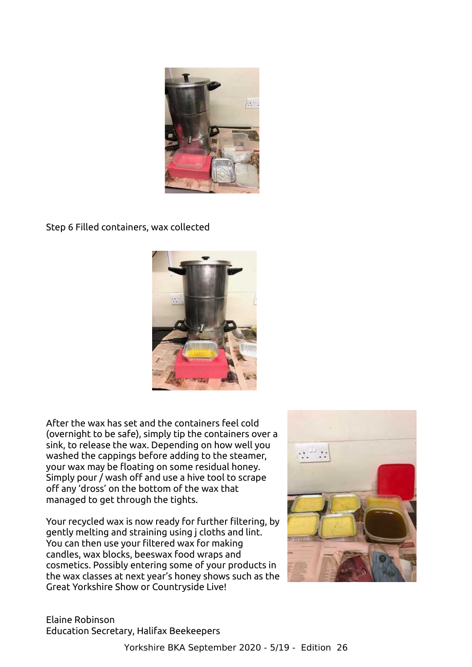

Step 6 Filled containers, wax collected



After the wax has set and the containers feel cold (overnight to be safe), simply tip the containers over a sink, to release the wax. Depending on how well you washed the cappings before adding to the steamer, your wax may be floating on some residual honey. Simply pour / wash off and use a hive tool to scrape off any 'dross' on the bottom of the wax that managed to get through the tights.

Your recycled wax is now ready for further filtering, by gently melting and straining using j cloths and lint. You can then use your filtered wax for making candles, wax blocks, beeswax food wraps and cosmetics. Possibly entering some of your products in the wax classes at next year's honey shows such as the Great Yorkshire Show or Countryside Live!



Elaine Robinson Education Secretary, Halifax Beekeepers

Yorkshire BKA September 2020 - 5/19 - Edition 26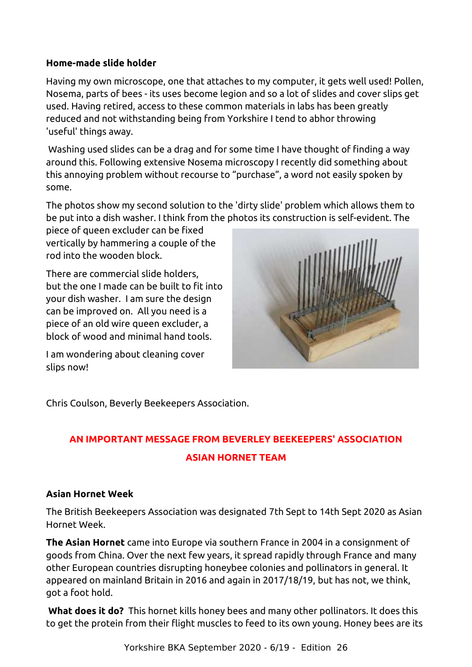## **Home-made slide holder**

Having my own microscope, one that attaches to my computer, it gets well used! Pollen, Nosema, parts of bees - its uses become legion and so a lot of slides and cover slips get used. Having retired, access to these common materials in labs has been greatly reduced and not withstanding being from Yorkshire I tend to abhor throwing 'useful' things away.

<span id="page-5-1"></span>Washing used slides can be a drag and for some time I have thought of finding a way around this. Following extensive Nosema microscopy I recently did something about this annoying problem without recourse to "purchase", a word not easily spoken by some.

The photos show my second solution to the 'dirty slide' problem which allows them to be put into a dish washer. I think from the photos its construction is self-evident. The

piece of queen excluder can be fixed vertically by hammering a couple of the rod into the wooden block.

There are commercial slide holders, but the one I made can be built to fit into your dish washer. I am sure the design can be improved on. All you need is a piece of an old wire queen excluder, a block of wood and minimal hand tools.

I am wondering about cleaning cover slips now!



Chris Coulson, Beverly Beekeepers Association.

## <span id="page-5-0"></span>**AN IMPORTANT MESSAGE FROM BEVERLEY BEEKEEPERS' ASSOCIATION ASIAN HORNET TEAM**

## **Asian Hornet Week**

The British Beekeepers Association was designated 7th Sept to 14th Sept 2020 as Asian Hornet Week.

**The Asian Hornet** came into Europe via southern France in 2004 in a consignment of goods from China. Over the next few years, it spread rapidly through France and many other European countries disrupting honeybee colonies and pollinators in general. It appeared on mainland Britain in 2016 and again in 2017/18/19, but has not, we think, got a foot hold.

**What does it do?** This hornet kills honey bees and many other pollinators. It does this to get the protein from their flight muscles to feed to its own young. Honey bees are its

Yorkshire BKA September 2020 - 6/19 - Edition 26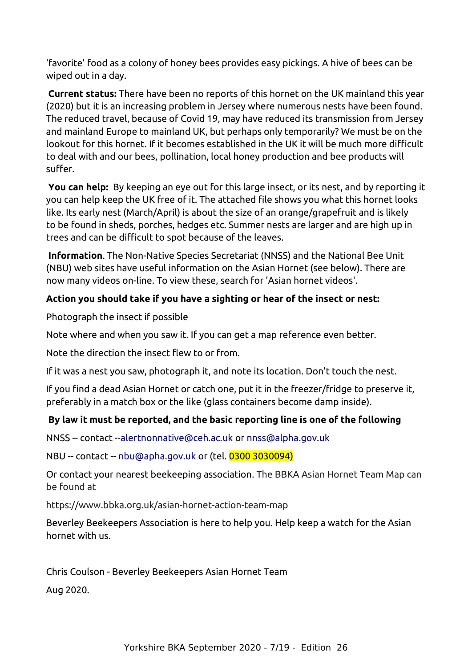'favorite' food as a colony of honey bees provides easy pickings. A hive of bees can be wiped out in a day.

**Current status:** There have been no reports of this hornet on the UK mainland this year (2020) but it is an increasing problem in Jersey where numerous nests have been found. The reduced travel, because of Covid 19, may have reduced its transmission from Jersey and mainland Europe to mainland UK, but perhaps only temporarily? We must be on the lookout for this hornet. If it becomes established in the UK it will be much more difficult to deal with and our bees, pollination, local honey production and bee products will suffer.

**You can help:** By keeping an eye out for this large insect, or its nest, and by reporting it you can help keep the UK free of it. The attached file shows you what this hornet looks like. Its early nest (March/April) is about the size of an orange/grapefruit and is likely to be found in sheds, porches, hedges etc. Summer nests are larger and are high up in trees and can be difficult to spot because of the leaves.

**Information**. The Non-Native Species Secretariat (NNSS) and the National Bee Unit (NBU) web sites have useful information on the Asian Hornet (see below). There are now many videos on-line. To view these, search for 'Asian hornet videos'.

## **Action you should take if you have a sighting or hear of the insect or nest:**

Photograph the insect if possible

Note where and when you saw it. If you can get a map reference even better.

Note the direction the insect flew to or from.

If it was a nest you saw, photograph it, and note its location. Don't touch the nest.

If you find a dead Asian Hornet or catch one, put it in the freezer/fridge to preserve it, preferably in a match box or the like (glass containers become damp inside).

## **By law it must be reported, and the basic reporting line is one of the following**

NNSS -- contact --alertnonnative@ceh.ac.uk or nnss@alpha.gov.uk

NBU -- contact -- [nbu@apha.gov.uk](mailto:nbu@apha.gov.uk) or (tel. 0300 3030094)

Or contact your nearest beekeeping association. The BBKA Asian Hornet Team Map can be found at

https://www.bbka.org.uk/asian-hornet-action-team-map

Beverley Beekeepers Association is here to help you. Help keep a watch for the Asian hornet with us.

Chris Coulson - Beverley Beekeepers Asian Hornet Team

Aug 2020.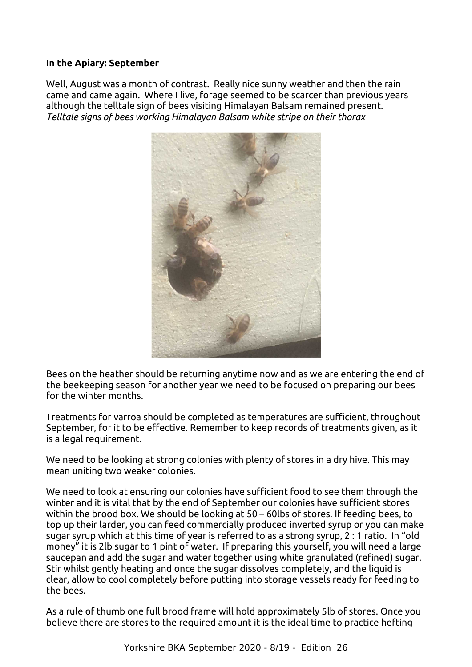## **In the Apiary: September**

Well, August was a month of contrast. Really nice sunny weather and then the rain came and came again. Where I live, forage seemed to be scarcer than previous years although the telltale sign of bees visiting Himalayan Balsam remained present. *Telltale signs of bees working Himalayan Balsam white stripe on their thorax*

<span id="page-7-0"></span>

Bees on the heather should be returning anytime now and as we are entering the end of the beekeeping season for another year we need to be focused on preparing our bees for the winter months.

Treatments for varroa should be completed as temperatures are sufficient, throughout September, for it to be effective. Remember to keep records of treatments given, as it is a legal requirement.

We need to be looking at strong colonies with plenty of stores in a dry hive. This may mean uniting two weaker colonies.

We need to look at ensuring our colonies have sufficient food to see them through the winter and it is vital that by the end of September our colonies have sufficient stores within the brood box. We should be looking at 50 – 60lbs of stores. If feeding bees, to top up their larder, you can feed commercially produced inverted syrup or you can make sugar syrup which at this time of year is referred to as a strong syrup, 2 : 1 ratio. In "old money" it is 2lb sugar to 1 pint of water. If preparing this yourself, you will need a large saucepan and add the sugar and water together using white granulated (refined) sugar. Stir whilst gently heating and once the sugar dissolves completely, and the liquid is clear, allow to cool completely before putting into storage vessels ready for feeding to the bees.

As a rule of thumb one full brood frame will hold approximately 5lb of stores. Once you believe there are stores to the required amount it is the ideal time to practice hefting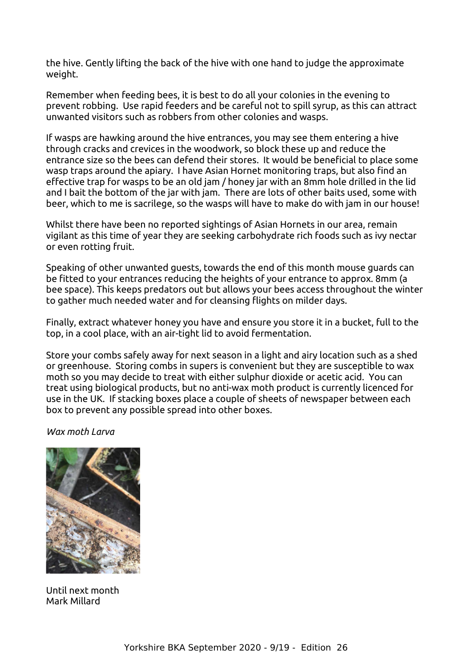the hive. Gently lifting the back of the hive with one hand to judge the approximate weight.

Remember when feeding bees, it is best to do all your colonies in the evening to prevent robbing. Use rapid feeders and be careful not to spill syrup, as this can attract unwanted visitors such as robbers from other colonies and wasps.

If wasps are hawking around the hive entrances, you may see them entering a hive through cracks and crevices in the woodwork, so block these up and reduce the entrance size so the bees can defend their stores. It would be beneficial to place some wasp traps around the apiary. I have Asian Hornet monitoring traps, but also find an effective trap for wasps to be an old jam / honey jar with an 8mm hole drilled in the lid and I bait the bottom of the jar with jam. There are lots of other baits used, some with beer, which to me is sacrilege, so the wasps will have to make do with jam in our house!

Whilst there have been no reported sightings of Asian Hornets in our area, remain vigilant as this time of year they are seeking carbohydrate rich foods such as ivy nectar or even rotting fruit.

Speaking of other unwanted guests, towards the end of this month mouse guards can be fitted to your entrances reducing the heights of your entrance to approx. 8mm (a bee space). This keeps predators out but allows your bees access throughout the winter to gather much needed water and for cleansing flights on milder days.

Finally, extract whatever honey you have and ensure you store it in a bucket, full to the top, in a cool place, with an air-tight lid to avoid fermentation.

Store your combs safely away for next season in a light and airy location such as a shed or greenhouse. Storing combs in supers is convenient but they are susceptible to wax moth so you may decide to treat with either sulphur dioxide or acetic acid. You can treat using biological products, but no anti-wax moth product is currently licenced for use in the UK. If stacking boxes place a couple of sheets of newspaper between each box to prevent any possible spread into other boxes.

## *Wax moth Larva*



Until next month Mark Millard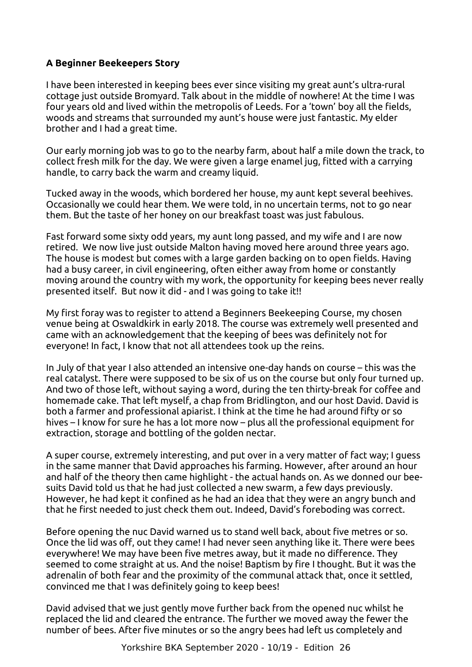## **A Beginner Beekeepers Story**

I have been interested in keeping bees ever since visiting my great aunt's ultra-rural cottage just outside Bromyard. Talk about in the middle of nowhere! At the time I was four years old and lived within the metropolis of Leeds. For a 'town' boy all the fields, woods and streams that surrounded my aunt's house were just fantastic. My elder brother and I had a great time.

Our early morning job was to go to the nearby farm, about half a mile down the track, to collect fresh milk for the day. We were given a large enamel jug, fitted with a carrying handle, to carry back the warm and creamy liquid.

Tucked away in the woods, which bordered her house, my aunt kept several beehives. Occasionally we could hear them. We were told, in no uncertain terms, not to go near them. But the taste of her honey on our breakfast toast was just fabulous.

<span id="page-9-0"></span>Fast forward some sixty odd years, my aunt long passed, and my wife and I are now retired. We now live just outside Malton having moved here around three years ago. The house is modest but comes with a large garden backing on to open fields. Having had a busy career, in civil engineering, often either away from home or constantly moving around the country with my work, the opportunity for keeping bees never really presented itself. But now it did - and I was going to take it!!

My first foray was to register to attend a Beginners Beekeeping Course, my chosen venue being at Oswaldkirk in early 2018. The course was extremely well presented and came with an acknowledgement that the keeping of bees was definitely not for everyone! In fact, I know that not all attendees took up the reins.

In July of that year I also attended an intensive one-day hands on course – this was the real catalyst. There were supposed to be six of us on the course but only four turned up. And two of those left, without saying a word, during the ten thirty-break for coffee and homemade cake. That left myself, a chap from Bridlington, and our host David. David is both a farmer and professional apiarist. I think at the time he had around fifty or so hives – I know for sure he has a lot more now – plus all the professional equipment for extraction, storage and bottling of the golden nectar.

A super course, extremely interesting, and put over in a very matter of fact way; I guess in the same manner that David approaches his farming. However, after around an hour and half of the theory then came highlight - the actual hands on. As we donned our beesuits David told us that he had just collected a new swarm, a few days previously. However, he had kept it confined as he had an idea that they were an angry bunch and that he first needed to just check them out. Indeed, David's foreboding was correct.

Before opening the nuc David warned us to stand well back, about five metres or so. Once the lid was off, out they came! I had never seen anything like it. There were bees everywhere! We may have been five metres away, but it made no difference. They seemed to come straight at us. And the noise! Baptism by fire I thought. But it was the adrenalin of both fear and the proximity of the communal attack that, once it settled, convinced me that I was definitely going to keep bees!

David advised that we just gently move further back from the opened nuc whilst he replaced the lid and cleared the entrance. The further we moved away the fewer the number of bees. After five minutes or so the angry bees had left us completely and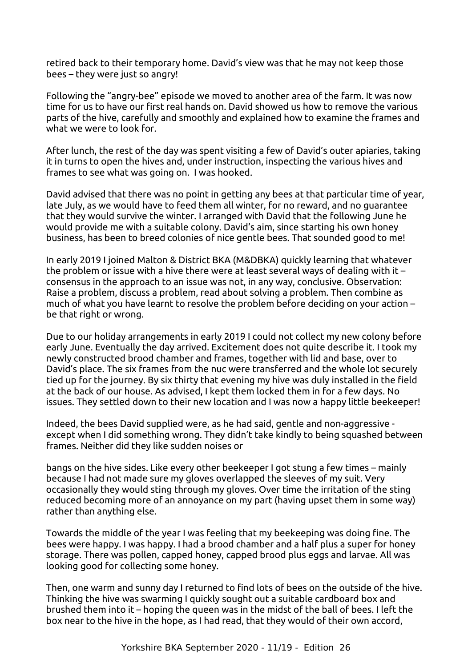retired back to their temporary home. David's view was that he may not keep those bees – they were just so angry!

Following the "angry-bee" episode we moved to another area of the farm. It was now time for us to have our first real hands on. David showed us how to remove the various parts of the hive, carefully and smoothly and explained how to examine the frames and what we were to look for.

After lunch, the rest of the day was spent visiting a few of David's outer apiaries, taking it in turns to open the hives and, under instruction, inspecting the various hives and frames to see what was going on. I was hooked.

David advised that there was no point in getting any bees at that particular time of year, late July, as we would have to feed them all winter, for no reward, and no guarantee that they would survive the winter. I arranged with David that the following June he would provide me with a suitable colony. David's aim, since starting his own honey business, has been to breed colonies of nice gentle bees. That sounded good to me!

In early 2019 I joined Malton & District BKA (M&DBKA) quickly learning that whatever the problem or issue with a hive there were at least several ways of dealing with it – consensus in the approach to an issue was not, in any way, conclusive. Observation: Raise a problem, discuss a problem, read about solving a problem. Then combine as much of what you have learnt to resolve the problem before deciding on your action – be that right or wrong.

Due to our holiday arrangements in early 2019 I could not collect my new colony before early June. Eventually the day arrived. Excitement does not quite describe it. I took my newly constructed brood chamber and frames, together with lid and base, over to David's place. The six frames from the nuc were transferred and the whole lot securely tied up for the journey. By six thirty that evening my hive was duly installed in the field at the back of our house. As advised, I kept them locked them in for a few days. No issues. They settled down to their new location and I was now a happy little beekeeper!

Indeed, the bees David supplied were, as he had said, gentle and non-aggressive except when I did something wrong. They didn't take kindly to being squashed between frames. Neither did they like sudden noises or

bangs on the hive sides. Like every other beekeeper I got stung a few times – mainly because I had not made sure my gloves overlapped the sleeves of my suit. Very occasionally they would sting through my gloves. Over time the irritation of the sting reduced becoming more of an annoyance on my part (having upset them in some way) rather than anything else.

Towards the middle of the year I was feeling that my beekeeping was doing fine. The bees were happy. I was happy. I had a brood chamber and a half plus a super for honey storage. There was pollen, capped honey, capped brood plus eggs and larvae. All was looking good for collecting some honey.

Then, one warm and sunny day I returned to find lots of bees on the outside of the hive. Thinking the hive was swarming I quickly sought out a suitable cardboard box and brushed them into it – hoping the queen was in the midst of the ball of bees. I left the box near to the hive in the hope, as I had read, that they would of their own accord,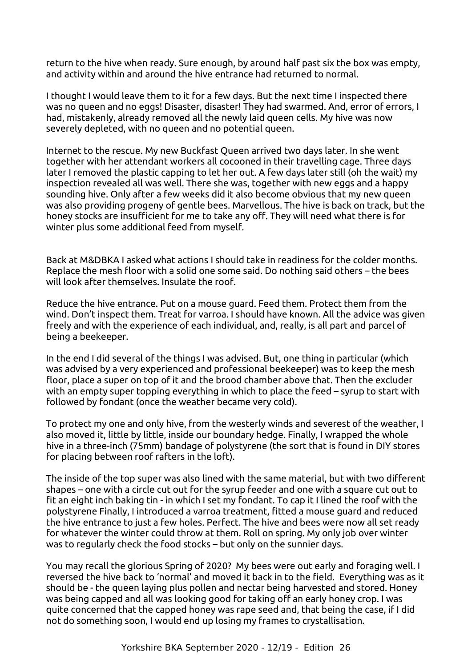return to the hive when ready. Sure enough, by around half past six the box was empty, and activity within and around the hive entrance had returned to normal.

I thought I would leave them to it for a few days. But the next time I inspected there was no queen and no eggs! Disaster, disaster! They had swarmed. And, error of errors, I had, mistakenly, already removed all the newly laid queen cells. My hive was now severely depleted, with no queen and no potential queen.

Internet to the rescue. My new Buckfast Queen arrived two days later. In she went together with her attendant workers all cocooned in their travelling cage. Three days later I removed the plastic capping to let her out. A few days later still (oh the wait) my inspection revealed all was well. There she was, together with new eggs and a happy sounding hive. Only after a few weeks did it also become obvious that my new queen was also providing progeny of gentle bees. Marvellous. The hive is back on track, but the honey stocks are insufficient for me to take any off. They will need what there is for winter plus some additional feed from myself.

Back at M&DBKA I asked what actions I should take in readiness for the colder months. Replace the mesh floor with a solid one some said. Do nothing said others – the bees will look after themselves. Insulate the roof.

Reduce the hive entrance. Put on a mouse guard. Feed them. Protect them from the wind. Don't inspect them. Treat for varroa. I should have known. All the advice was given freely and with the experience of each individual, and, really, is all part and parcel of being a beekeeper.

In the end I did several of the things I was advised. But, one thing in particular (which was advised by a very experienced and professional beekeeper) was to keep the mesh floor, place a super on top of it and the brood chamber above that. Then the excluder with an empty super topping everything in which to place the feed – syrup to start with followed by fondant (once the weather became very cold).

To protect my one and only hive, from the westerly winds and severest of the weather, I also moved it, little by little, inside our boundary hedge. Finally, I wrapped the whole hive in a three-inch (75mm) bandage of polystyrene (the sort that is found in DIY stores for placing between roof rafters in the loft).

The inside of the top super was also lined with the same material, but with two different shapes – one with a circle cut out for the syrup feeder and one with a square cut out to fit an eight inch baking tin - in which I set my fondant. To cap it I lined the roof with the polystyrene Finally, I introduced a varroa treatment, fitted a mouse guard and reduced the hive entrance to just a few holes. Perfect. The hive and bees were now all set ready for whatever the winter could throw at them. Roll on spring. My only job over winter was to regularly check the food stocks – but only on the sunnier days.

You may recall the glorious Spring of 2020? My bees were out early and foraging well. I reversed the hive back to 'normal' and moved it back in to the field. Everything was as it should be - the queen laying plus pollen and nectar being harvested and stored. Honey was being capped and all was looking good for taking off an early honey crop. I was quite concerned that the capped honey was rape seed and, that being the case, if I did not do something soon, I would end up losing my frames to crystallisation.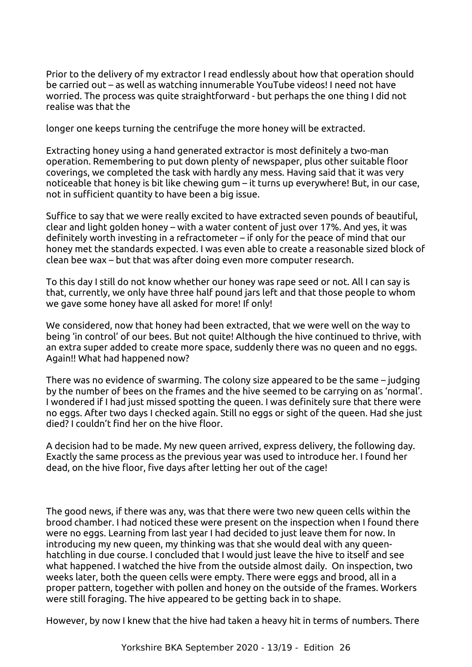Prior to the delivery of my extractor I read endlessly about how that operation should be carried out – as well as watching innumerable YouTube videos! I need not have worried. The process was quite straightforward - but perhaps the one thing I did not realise was that the

longer one keeps turning the centrifuge the more honey will be extracted.

Extracting honey using a hand generated extractor is most definitely a two-man operation. Remembering to put down plenty of newspaper, plus other suitable floor coverings, we completed the task with hardly any mess. Having said that it was very noticeable that honey is bit like chewing gum – it turns up everywhere! But, in our case, not in sufficient quantity to have been a big issue.

Suffice to say that we were really excited to have extracted seven pounds of beautiful, clear and light golden honey – with a water content of just over 17%. And yes, it was definitely worth investing in a refractometer – if only for the peace of mind that our honey met the standards expected. I was even able to create a reasonable sized block of clean bee wax – but that was after doing even more computer research.

To this day I still do not know whether our honey was rape seed or not. All I can say is that, currently, we only have three half pound jars left and that those people to whom we gave some honey have all asked for more! If only!

We considered, now that honey had been extracted, that we were well on the way to being 'in control' of our bees. But not quite! Although the hive continued to thrive, with an extra super added to create more space, suddenly there was no queen and no eggs. Again!! What had happened now?

There was no evidence of swarming. The colony size appeared to be the same – judging by the number of bees on the frames and the hive seemed to be carrying on as 'normal'. I wondered if I had just missed spotting the queen. I was definitely sure that there were no eggs. After two days I checked again. Still no eggs or sight of the queen. Had she just died? I couldn't find her on the hive floor.

A decision had to be made. My new queen arrived, express delivery, the following day. Exactly the same process as the previous year was used to introduce her. I found her dead, on the hive floor, five days after letting her out of the cage!

The good news, if there was any, was that there were two new queen cells within the brood chamber. I had noticed these were present on the inspection when I found there were no eggs. Learning from last year I had decided to just leave them for now. In introducing my new queen, my thinking was that she would deal with any queenhatchling in due course. I concluded that I would just leave the hive to itself and see what happened. I watched the hive from the outside almost daily. On inspection, two weeks later, both the queen cells were empty. There were eggs and brood, all in a proper pattern, together with pollen and honey on the outside of the frames. Workers were still foraging. The hive appeared to be getting back in to shape.

However, by now I knew that the hive had taken a heavy hit in terms of numbers. There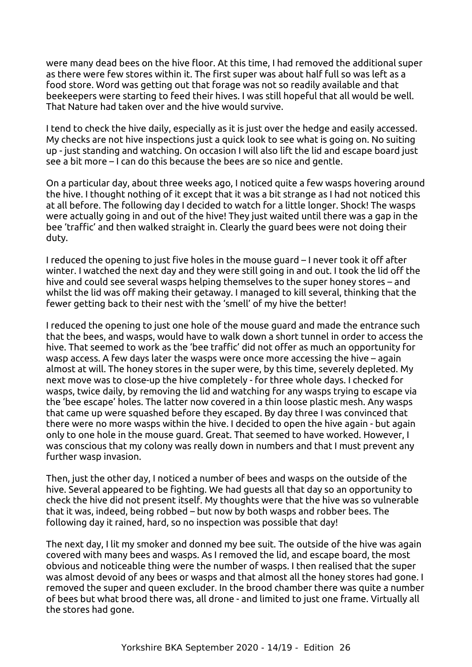were many dead bees on the hive floor. At this time, I had removed the additional super as there were few stores within it. The first super was about half full so was left as a food store. Word was getting out that forage was not so readily available and that beekeepers were starting to feed their hives. I was still hopeful that all would be well. That Nature had taken over and the hive would survive.

I tend to check the hive daily, especially as it is just over the hedge and easily accessed. My checks are not hive inspections just a quick look to see what is going on. No suiting up - just standing and watching. On occasion I will also lift the lid and escape board just see a bit more – I can do this because the bees are so nice and gentle.

On a particular day, about three weeks ago, I noticed quite a few wasps hovering around the hive. I thought nothing of it except that it was a bit strange as I had not noticed this at all before. The following day I decided to watch for a little longer. Shock! The wasps were actually going in and out of the hive! They just waited until there was a gap in the bee 'traffic' and then walked straight in. Clearly the guard bees were not doing their duty.

I reduced the opening to just five holes in the mouse guard – I never took it off after winter. I watched the next day and they were still going in and out. I took the lid off the hive and could see several wasps helping themselves to the super honey stores – and whilst the lid was off making their getaway. I managed to kill several, thinking that the fewer getting back to their nest with the 'smell' of my hive the better!

I reduced the opening to just one hole of the mouse guard and made the entrance such that the bees, and wasps, would have to walk down a short tunnel in order to access the hive. That seemed to work as the 'bee traffic' did not offer as much an opportunity for wasp access. A few days later the wasps were once more accessing the hive – again almost at will. The honey stores in the super were, by this time, severely depleted. My next move was to close-up the hive completely - for three whole days. I checked for wasps, twice daily, by removing the lid and watching for any wasps trying to escape via the 'bee escape' holes. The latter now covered in a thin loose plastic mesh. Any wasps that came up were squashed before they escaped. By day three I was convinced that there were no more wasps within the hive. I decided to open the hive again - but again only to one hole in the mouse guard. Great. That seemed to have worked. However, I was conscious that my colony was really down in numbers and that I must prevent any further wasp invasion.

Then, just the other day, I noticed a number of bees and wasps on the outside of the hive. Several appeared to be fighting. We had guests all that day so an opportunity to check the hive did not present itself. My thoughts were that the hive was so vulnerable that it was, indeed, being robbed – but now by both wasps and robber bees. The following day it rained, hard, so no inspection was possible that day!

The next day, I lit my smoker and donned my bee suit. The outside of the hive was again covered with many bees and wasps. As I removed the lid, and escape board, the most obvious and noticeable thing were the number of wasps. I then realised that the super was almost devoid of any bees or wasps and that almost all the honey stores had gone. I removed the super and queen excluder. In the brood chamber there was quite a number of bees but what brood there was, all drone - and limited to just one frame. Virtually all the stores had gone.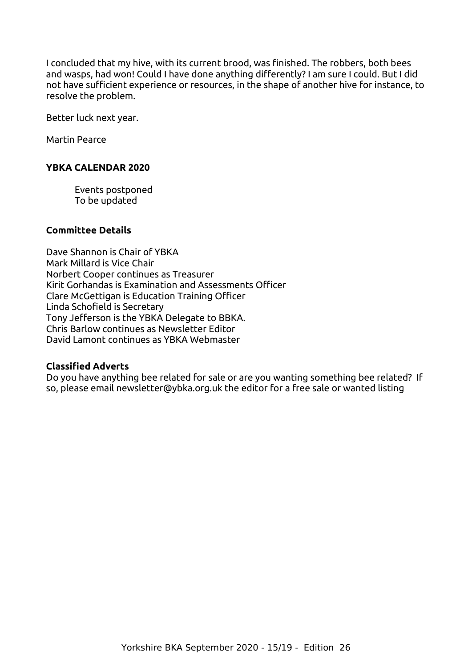I concluded that my hive, with its current brood, was finished. The robbers, both bees and wasps, had won! Could I have done anything differently? I am sure I could. But I did not have sufficient experience or resources, in the shape of another hive for instance, to resolve the problem.

Better luck next year.

Martin Pearce

## <span id="page-14-2"></span>**YBKA CALENDAR 2020**

Events postponed To be updated

## **Committee Details**

Dave Shannon is Chair of YBKA Mark Millard is Vice Chair Norbert Cooper continues as Treasurer Kirit Gorhandas is Examination and Assessments Officer Clare McGettigan is Education Training Officer Linda Schofield is Secretary Tony Jefferson is the YBKA Delegate to BBKA. Chris Barlow continues as Newsletter Editor David Lamont continues as YBKA Webmaster

## <span id="page-14-1"></span>**Classified Adverts**

<span id="page-14-0"></span>Do you have anything bee related for sale or are you wanting something bee related? If so, please email newsletter@ybka.org.uk the editor for a free sale or wanted listing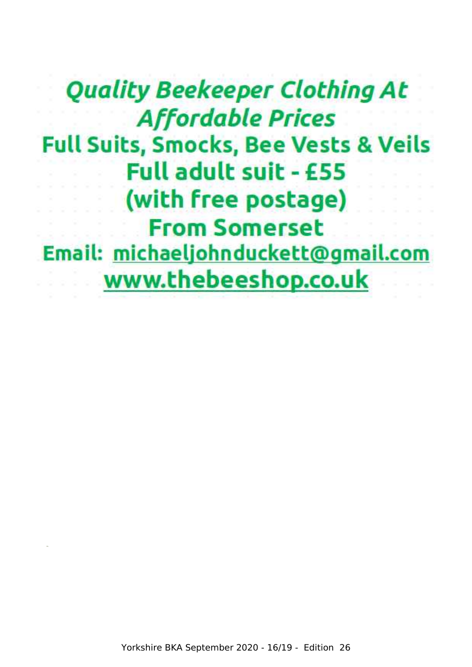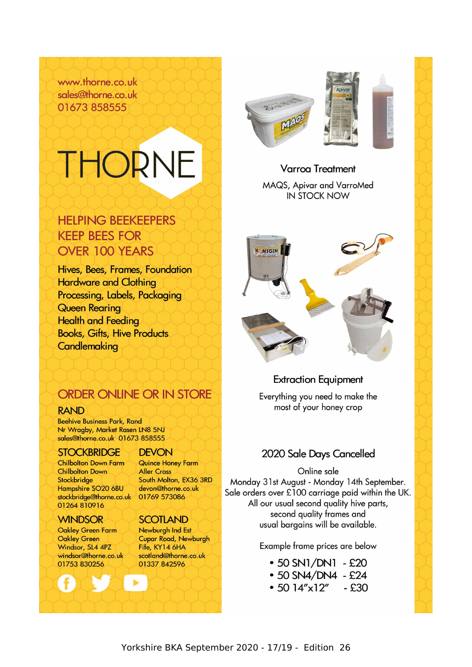www.thorne.co.uk sales@thorne.co.uk 01673 858555

# THORNE

**HELPING BEEKEEPERS** 

Hives, Bees, Frames, Foundation

Processing, Labels, Packaging

**Books, Gifts, Hive Products** 

**KEEP BEES FOR** 

**OVER 100 YEARS** 

**Hardware and Clothing** 

**Queen Rearing** 

Candlemaking

**Health and Feeding** 



## **Varroa Treatment**

MAQS, Apivar and VarroMed **IN STOCK NOW** 



## ORDER ONLINE OR IN STORE

## **RAND**

**Beehive Business Park, Rand** Nr Wragby, Market Rasen LN8 5NJ sales@thorne.co.uk 01673 858555

## **STOCKBRIDGE**

**Chilbolton Down Farm Chilbolton Down** Stockbridge Hampshire SO20 6BU stockbridge@thorne.co.uk 01264 810916

## **WINDSOR**

Oakley Green Farm **Oakley Green** Windsor, SL4 4PZ windsor@thorne.co.uk 01753 830256

## **DEVON**

Quince Honey Farm **Aller Cross** South Molton, EX36 3RD devon@thorne.co.uk 01769 573086

## **SCOTLAND**

Newburgh Ind Est Cupar Road, Newburgh Fife, KY14 6HA scotland@thorne.co.uk 01337 842596

## **Extraction Equipment**

Everything you need to make the most of your honey crop

## 2020 Sale Days Cancelled

Online sale Monday 31st August - Monday 14th September. Sale orders over £100 carriage paid within the UK. All our usual second quality hive parts, second quality frames and usual bargains will be available.

Example frame prices are below

- $\cdot$  50 SN1/DN1 £20
- $\cdot$  50 SN4/DN4 £24
- $\cdot$  50 14"x12" - £30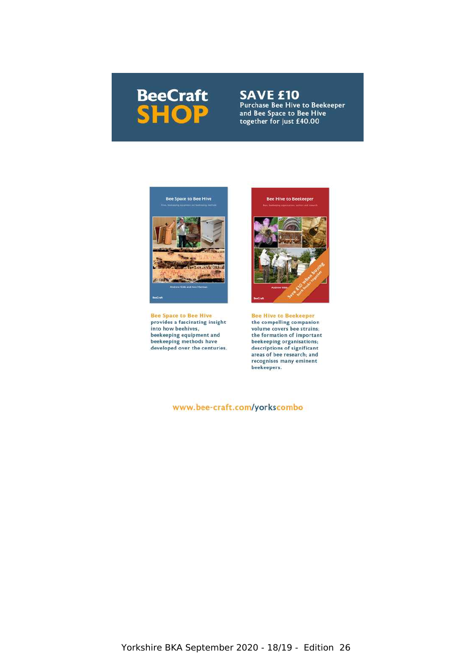## **BeeCraft SHOP**

**SAVE £10**<br>Purchase Bee Hive to Beekeeper<br>and Bee Space to Bee Hive together for just £40.00



**Bee Space to Bee Hive** provides a fascinating insight into how beehives, beekeeping equipment and<br>beekeeping methods have<br>developed over the centuries.



**Bee Hive to Beekeeper** the compelling companion volume covers bee strains; the formation of important beekeeping organisations; descriptions of significant<br>areas of bee research; and recognises many eminent<br>beekeepers.

#### www.bee-craft.com/yorkscombo